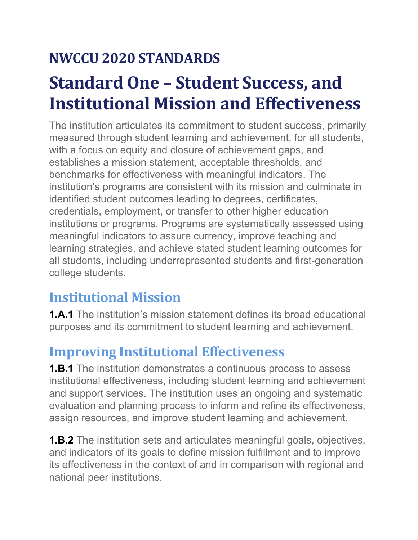## **NWCCU 2020 STANDARDS**

# **Standard One – Student Success, and Institutional Mission and Effectiveness**

The institution articulates its commitment to student success, primarily measured through student learning and achievement, for all students, with a focus on equity and closure of achievement gaps, and establishes a mission statement, acceptable thresholds, and benchmarks for effectiveness with meaningful indicators. The institution's programs are consistent with its mission and culminate in identified student outcomes leading to degrees, certificates, credentials, employment, or transfer to other higher education institutions or programs. Programs are systematically assessed using meaningful indicators to assure currency, improve teaching and learning strategies, and achieve stated student learning outcomes for all students, including underrepresented students and first-generation college students.

### **Institutional Mission**

**1.A.1** The institution's mission statement defines its broad educational purposes and its commitment to student learning and achievement.

#### **Improving Institutional Effectiveness**

**1.B.1** The institution demonstrates a continuous process to assess institutional effectiveness, including student learning and achievement and support services. The institution uses an ongoing and systematic evaluation and planning process to inform and refine its effectiveness, assign resources, and improve student learning and achievement.

**1.B.2** The institution sets and articulates meaningful goals, objectives, and indicators of its goals to define mission fulfillment and to improve its effectiveness in the context of and in comparison with regional and national peer institutions.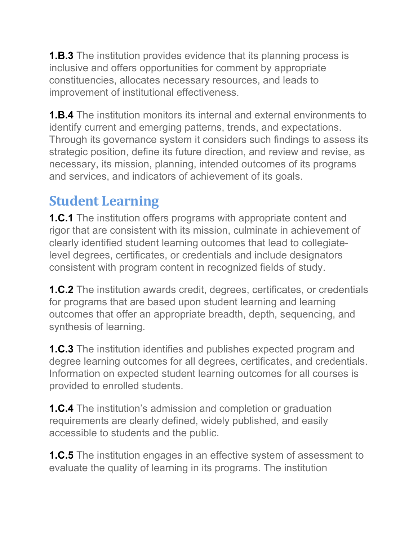**1.B.3** The institution provides evidence that its planning process is inclusive and offers opportunities for comment by appropriate constituencies, allocates necessary resources, and leads to improvement of institutional effectiveness.

**1.B.4** The institution monitors its internal and external environments to identify current and emerging patterns, trends, and expectations. Through its governance system it considers such findings to assess its strategic position, define its future direction, and review and revise, as necessary, its mission, planning, intended outcomes of its programs and services, and indicators of achievement of its goals.

#### **Student Learning**

**1.C.1** The institution offers programs with appropriate content and rigor that are consistent with its mission, culminate in achievement of clearly identified student learning outcomes that lead to collegiatelevel degrees, certificates, or credentials and include designators consistent with program content in recognized fields of study.

**1.C.2** The institution awards credit, degrees, certificates, or credentials for programs that are based upon student learning and learning outcomes that offer an appropriate breadth, depth, sequencing, and synthesis of learning.

**1.C.3** The institution identifies and publishes expected program and degree learning outcomes for all degrees, certificates, and credentials. Information on expected student learning outcomes for all courses is provided to enrolled students.

**1.C.4** The institution's admission and completion or graduation requirements are clearly defined, widely published, and easily accessible to students and the public.

**1.C.5** The institution engages in an effective system of assessment to evaluate the quality of learning in its programs. The institution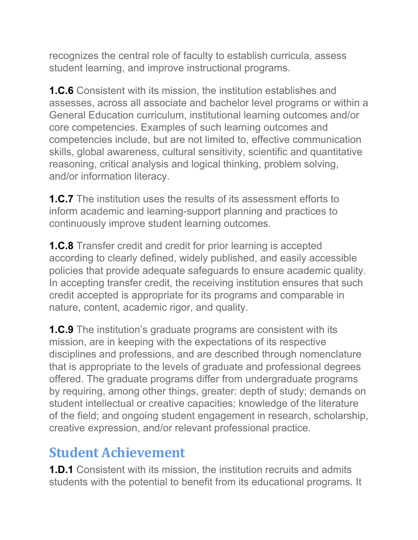recognizes the central role of faculty to establish curricula, assess student learning, and improve instructional programs.

**1.C.6** Consistent with its mission, the institution establishes and assesses, across all associate and bachelor level programs or within a General Education curriculum, institutional learning outcomes and/or core competencies. Examples of such learning outcomes and competencies include, but are not limited to, effective communication skills, global awareness, cultural sensitivity, scientific and quantitative reasoning, critical analysis and logical thinking, problem solving, and/or information literacy.

**1.C.7** The institution uses the results of its assessment efforts to inform academic and learning-support planning and practices to continuously improve student learning outcomes.

**1.C.8** Transfer credit and credit for prior learning is accepted according to clearly defined, widely published, and easily accessible policies that provide adequate safeguards to ensure academic quality. In accepting transfer credit, the receiving institution ensures that such credit accepted is appropriate for its programs and comparable in nature, content, academic rigor, and quality.

**1.C.9** The institution's graduate programs are consistent with its mission, are in keeping with the expectations of its respective disciplines and professions, and are described through nomenclature that is appropriate to the levels of graduate and professional degrees offered. The graduate programs differ from undergraduate programs by requiring, among other things, greater: depth of study; demands on student intellectual or creative capacities; knowledge of the literature of the field; and ongoing student engagement in research, scholarship, creative expression, and/or relevant professional practice.

#### **Student Achievement**

**1.D.1** Consistent with its mission, the institution recruits and admits students with the potential to benefit from its educational programs. It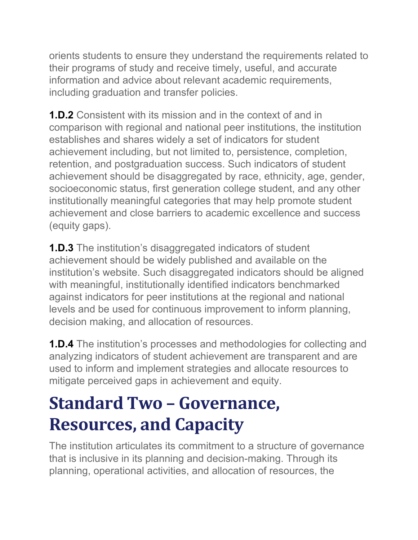orients students to ensure they understand the requirements related to their programs of study and receive timely, useful, and accurate information and advice about relevant academic requirements, including graduation and transfer policies.

**1.D.2** Consistent with its mission and in the context of and in comparison with regional and national peer institutions, the institution establishes and shares widely a set of indicators for student achievement including, but not limited to, persistence, completion, retention, and postgraduation success. Such indicators of student achievement should be disaggregated by race, ethnicity, age, gender, socioeconomic status, first generation college student, and any other institutionally meaningful categories that may help promote student achievement and close barriers to academic excellence and success (equity gaps).

**1.D.3** The institution's disaggregated indicators of student achievement should be widely published and available on the institution's website. Such disaggregated indicators should be aligned with meaningful, institutionally identified indicators benchmarked against indicators for peer institutions at the regional and national levels and be used for continuous improvement to inform planning, decision making, and allocation of resources.

**1.D.4** The institution's processes and methodologies for collecting and analyzing indicators of student achievement are transparent and are used to inform and implement strategies and allocate resources to mitigate perceived gaps in achievement and equity.

# **Standard Two – Governance, Resources, and Capacity**

The institution articulates its commitment to a structure of governance that is inclusive in its planning and decision-making. Through its planning, operational activities, and allocation of resources, the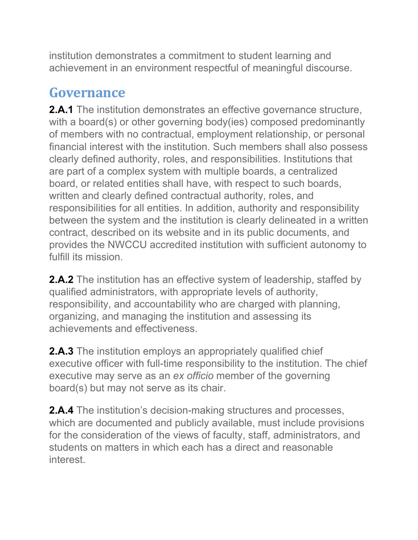institution demonstrates a commitment to student learning and achievement in an environment respectful of meaningful discourse.

#### **Governance**

**2.A.1** The institution demonstrates an effective governance structure, with a board(s) or other governing body(ies) composed predominantly of members with no contractual, employment relationship, or personal financial interest with the institution. Such members shall also possess clearly defined authority, roles, and responsibilities. Institutions that are part of a complex system with multiple boards, a centralized board, or related entities shall have, with respect to such boards, written and clearly defined contractual authority, roles, and responsibilities for all entities. In addition, authority and responsibility between the system and the institution is clearly delineated in a written contract, described on its website and in its public documents, and provides the NWCCU accredited institution with sufficient autonomy to fulfill its mission.

**2.A.2** The institution has an effective system of leadership, staffed by qualified administrators, with appropriate levels of authority, responsibility, and accountability who are charged with planning, organizing, and managing the institution and assessing its achievements and effectiveness.

**2.A.3** The institution employs an appropriately qualified chief executive officer with full-time responsibility to the institution. The chief executive may serve as an *ex officio* member of the governing board(s) but may not serve as its chair.

**2.A.4** The institution's decision-making structures and processes, which are documented and publicly available, must include provisions for the consideration of the views of faculty, staff, administrators, and students on matters in which each has a direct and reasonable interest.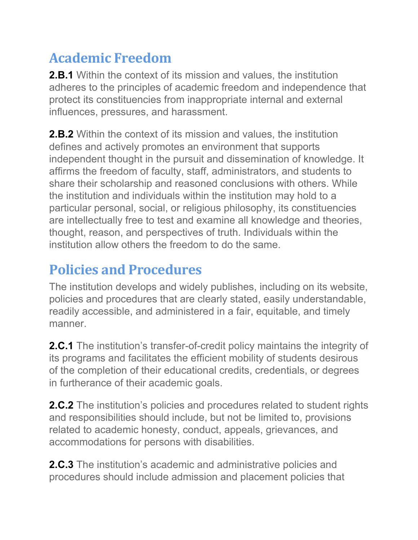#### **Academic Freedom**

**2.B.1** Within the context of its mission and values, the institution adheres to the principles of academic freedom and independence that protect its constituencies from inappropriate internal and external influences, pressures, and harassment.

**2.B.2** Within the context of its mission and values, the institution defines and actively promotes an environment that supports independent thought in the pursuit and dissemination of knowledge. It affirms the freedom of faculty, staff, administrators, and students to share their scholarship and reasoned conclusions with others. While the institution and individuals within the institution may hold to a particular personal, social, or religious philosophy, its constituencies are intellectually free to test and examine all knowledge and theories, thought, reason, and perspectives of truth. Individuals within the institution allow others the freedom to do the same.

### **Policies and Procedures**

The institution develops and widely publishes, including on its website, policies and procedures that are clearly stated, easily understandable, readily accessible, and administered in a fair, equitable, and timely manner.

**2.C.1** The institution's transfer-of-credit policy maintains the integrity of its programs and facilitates the efficient mobility of students desirous of the completion of their educational credits, credentials, or degrees in furtherance of their academic goals.

**2.C.2** The institution's policies and procedures related to student rights and responsibilities should include, but not be limited to, provisions related to academic honesty, conduct, appeals, grievances, and accommodations for persons with disabilities.

**2.C.3** The institution's academic and administrative policies and procedures should include admission and placement policies that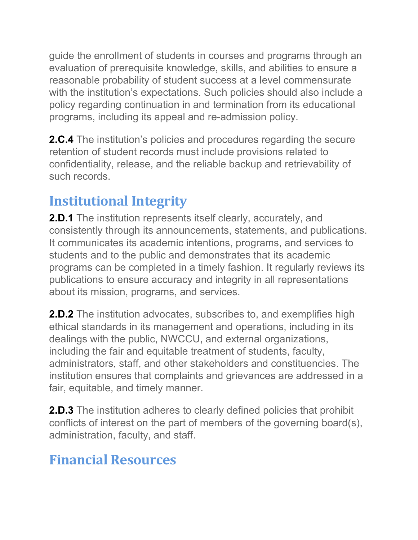guide the enrollment of students in courses and programs through an evaluation of prerequisite knowledge, skills, and abilities to ensure a reasonable probability of student success at a level commensurate with the institution's expectations. Such policies should also include a policy regarding continuation in and termination from its educational programs, including its appeal and re-admission policy.

**2.C.4** The institution's policies and procedures regarding the secure retention of student records must include provisions related to confidentiality, release, and the reliable backup and retrievability of such records.

#### **Institutional Integrity**

**2.D.1** The institution represents itself clearly, accurately, and consistently through its announcements, statements, and publications. It communicates its academic intentions, programs, and services to students and to the public and demonstrates that its academic programs can be completed in a timely fashion. It regularly reviews its publications to ensure accuracy and integrity in all representations about its mission, programs, and services.

**2.D.2** The institution advocates, subscribes to, and exemplifies high ethical standards in its management and operations, including in its dealings with the public, NWCCU, and external organizations, including the fair and equitable treatment of students, faculty, administrators, staff, and other stakeholders and constituencies. The institution ensures that complaints and grievances are addressed in a fair, equitable, and timely manner.

**2.D.3** The institution adheres to clearly defined policies that prohibit conflicts of interest on the part of members of the governing board(s), administration, faculty, and staff.

#### **Financial Resources**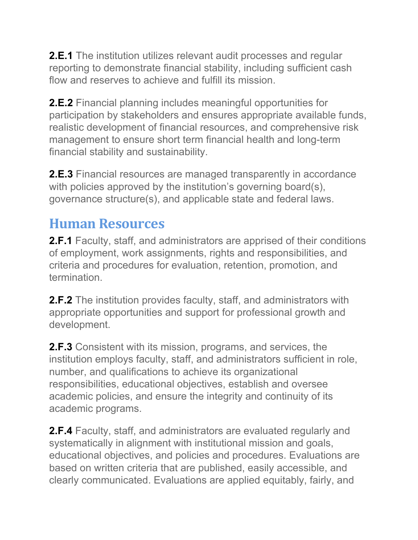**2.E.1** The institution utilizes relevant audit processes and regular reporting to demonstrate financial stability, including sufficient cash flow and reserves to achieve and fulfill its mission.

**2.E.2** Financial planning includes meaningful opportunities for participation by stakeholders and ensures appropriate available funds, realistic development of financial resources, and comprehensive risk management to ensure short term financial health and long-term financial stability and sustainability.

**2.E.3** Financial resources are managed transparently in accordance with policies approved by the institution's governing board(s), governance structure(s), and applicable state and federal laws.

#### **Human Resources**

**2.F.1** Faculty, staff, and administrators are apprised of their conditions of employment, work assignments, rights and responsibilities, and criteria and procedures for evaluation, retention, promotion, and termination.

**2.F.2** The institution provides faculty, staff, and administrators with appropriate opportunities and support for professional growth and development.

**2.F.3** Consistent with its mission, programs, and services, the institution employs faculty, staff, and administrators sufficient in role, number, and qualifications to achieve its organizational responsibilities, educational objectives, establish and oversee academic policies, and ensure the integrity and continuity of its academic programs.

**2.F.4** Faculty, staff, and administrators are evaluated regularly and systematically in alignment with institutional mission and goals, educational objectives, and policies and procedures. Evaluations are based on written criteria that are published, easily accessible, and clearly communicated. Evaluations are applied equitably, fairly, and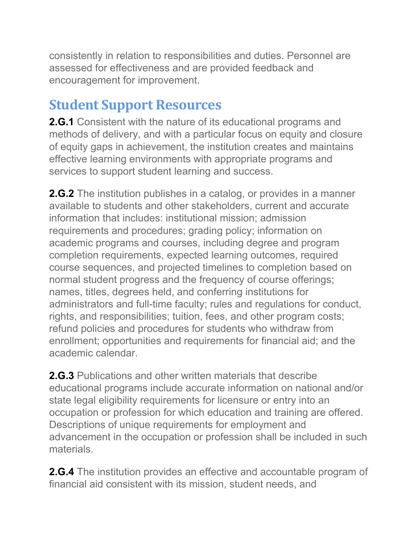consistently in relation to responsibilities and duties. Personnel are assessed for effectiveness and are provided feedback and encouragement for improvement.

#### **Student Support Resources**

**2.G.1** Consistent with the nature of its educational programs and methods of delivery, and with a particular focus on equity and closure of equity gaps in achievement, the institution creates and maintains effective learning environments with appropriate programs and services to support student learning and success.

**2.G.2** The institution publishes in a catalog, or provides in a manner available to students and other stakeholders, current and accurate information that includes: institutional mission; admission requirements and procedures; grading policy; information on academic programs and courses, including degree and program completion requirements, expected learning outcomes, required course sequences, and projected timelines to completion based on normal student progress and the frequency of course offerings; names, titles, degrees held, and conferring institutions for administrators and full-time faculty; rules and regulations for conduct, rights, and responsibilities; tuition, fees, and other program costs; refund policies and procedures for students who withdraw from enrollment; opportunities and requirements for financial aid; and the academic calendar.

**2.G.3** Publications and other written materials that describe educational programs include accurate information on national and/or state legal eligibility requirements for licensure or entry into an occupation or profession for which education and training are offered. Descriptions of unique requirements for employment and advancement in the occupation or profession shall be included in such materials.

**2.G.4** The institution provides an effective and accountable program of financial aid consistent with its mission, student needs, and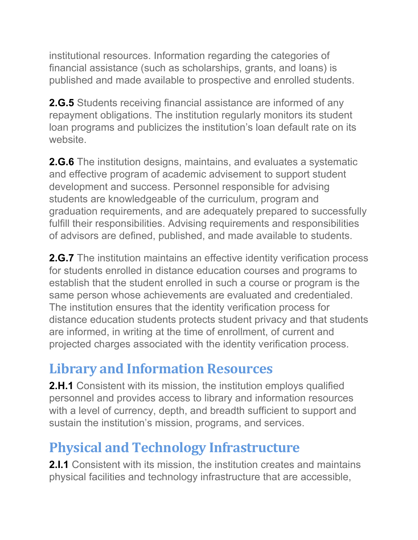institutional resources. Information regarding the categories of financial assistance (such as scholarships, grants, and loans) is published and made available to prospective and enrolled students.

**2.G.5** Students receiving financial assistance are informed of any repayment obligations. The institution regularly monitors its student loan programs and publicizes the institution's loan default rate on its website.

**2.G.6** The institution designs, maintains, and evaluates a systematic and effective program of academic advisement to support student development and success. Personnel responsible for advising students are knowledgeable of the curriculum, program and graduation requirements, and are adequately prepared to successfully fulfill their responsibilities. Advising requirements and responsibilities of advisors are defined, published, and made available to students.

**2.G.7** The institution maintains an effective identity verification process for students enrolled in distance education courses and programs to establish that the student enrolled in such a course or program is the same person whose achievements are evaluated and credentialed. The institution ensures that the identity verification process for distance education students protects student privacy and that students are informed, in writing at the time of enrollment, of current and projected charges associated with the identity verification process.

#### **Library and Information Resources**

**2.H.1** Consistent with its mission, the institution employs qualified personnel and provides access to library and information resources with a level of currency, depth, and breadth sufficient to support and sustain the institution's mission, programs, and services.

### **Physical and Technology Infrastructure**

**2.I.1** Consistent with its mission, the institution creates and maintains physical facilities and technology infrastructure that are accessible,